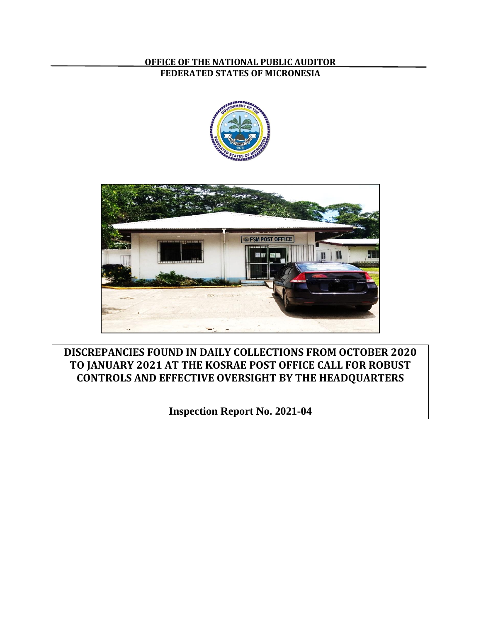## **OFFICE OF THE NATIONAL PUBLIC AUDITOR FEDERATED STATES OF MICRONESIA**





**DISCREPANCIES FOUND IN DAILY COLLECTIONS FROM OCTOBER 2020 TO JANUARY 2021 AT THE KOSRAE POST OFFICE CALL FOR ROBUST CONTROLS AND EFFECTIVE OVERSIGHT BY THE HEADQUARTERS**

**Inspection Report No. 2021-04**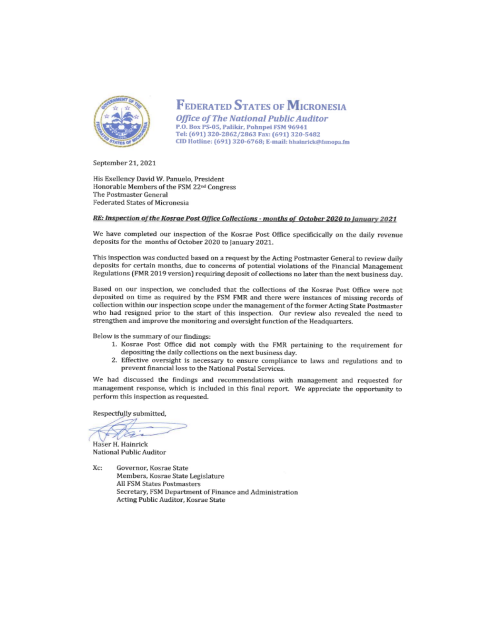

# **FEDERATED STATES OF MICRONESIA**

**Office of The National Public Auditor** P.O. Box PS-05, Palikir, Pohnpei FSM 96941 Tel: (691) 320-2862/2863 Fax: (691) 320-5482 CID Hotline: (691) 320-6768; E-mail: hhainrick@fsmopa.fm

September 21, 2021

His Exellency David W. Panuelo. President Honorable Members of the FSM 22<sup>nd</sup> Congress The Postmaster General **Federated States of Micronesia** 

#### RE: Inspection of the Kosrae Post Office Collections - months of October 2020 to January 2021

We have completed our inspection of the Kosrae Post Office specificically on the daily revenue deposits for the months of October 2020 to January 2021.

This inspection was conducted based on a request by the Acting Postmaster General to review daily deposits for certain months, due to concerns of potential violations of the Financial Management Regulations (FMR 2019 version) requiring deposit of collections no later than the next business day.

Based on our inspection, we concluded that the collections of the Kosrae Post Office were not deposited on time as required by the FSM FMR and there were instances of missing records of collection within our inspection scope under the management of the former Acting State Postmaster who had resigned prior to the start of this inspection. Our review also revealed the need to strengthen and improve the monitoring and oversight function of the Headquarters.

Below is the summary of our findings:

- 1. Kosrae Post Office did not comply with the FMR pertaining to the requirement for depositing the daily collections on the next business day.
- 2. Effective oversight is necessary to ensure compliance to laws and regulations and to prevent financial loss to the National Postal Services.

We had discussed the findings and recommendations with management and requested for management response, which is included in this final report. We appreciate the opportunity to perform this inspection as requested.

Respectfully submitted,

Haser H. Hainrick National Public Auditor

Xc: Governor, Kosrae State Members, Kosrae State Legislature All FSM States Postmasters Secretary, FSM Department of Finance and Administration Acting Public Auditor, Kosrae State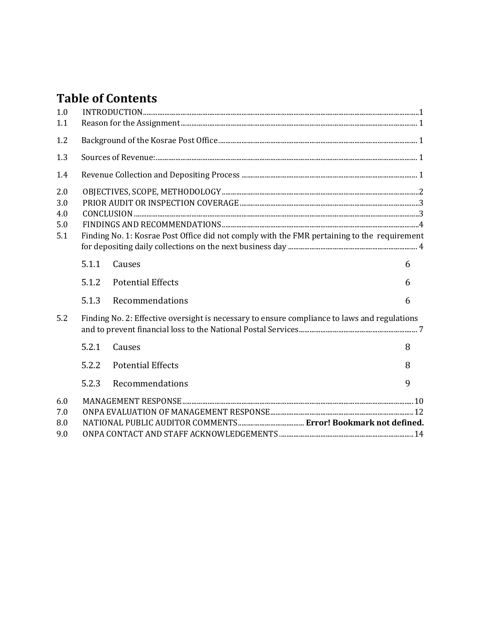# **Table of Contents**

| 1.0<br>1.1                      |                                                                                              |                          |   |  |
|---------------------------------|----------------------------------------------------------------------------------------------|--------------------------|---|--|
| 1.2                             |                                                                                              |                          |   |  |
| 1.3                             |                                                                                              |                          |   |  |
| 1.4                             |                                                                                              |                          |   |  |
| 2.0<br>3.0<br>4.0<br>5.0<br>5.1 | Finding No. 1: Kosrae Post Office did not comply with the FMR pertaining to the requirement  |                          |   |  |
|                                 | 5.1.1                                                                                        | Causes                   | 6 |  |
|                                 | 5.1.2                                                                                        | <b>Potential Effects</b> | 6 |  |
|                                 | 5.1.3                                                                                        | Recommendations          | 6 |  |
| 5.2                             | Finding No. 2: Effective oversight is necessary to ensure compliance to laws and regulations |                          |   |  |
|                                 | 5.2.1                                                                                        | Causes                   | 8 |  |
|                                 | 5.2.2                                                                                        | <b>Potential Effects</b> | 8 |  |
|                                 | 5.2.3                                                                                        | Recommendations          | 9 |  |
| 6.0<br>7.0<br>8.0<br>9.0        |                                                                                              |                          |   |  |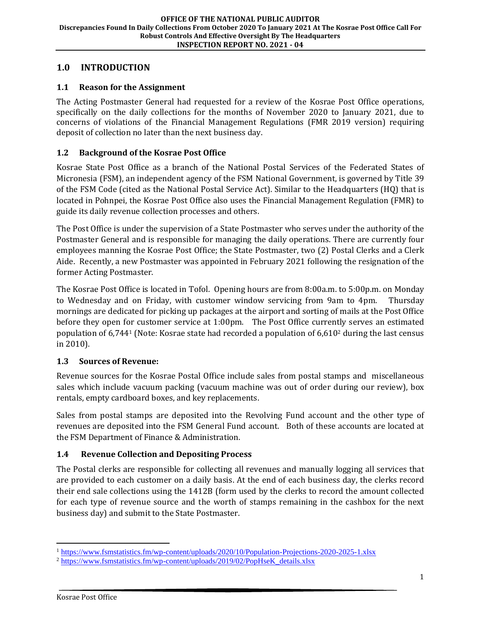## <span id="page-3-0"></span>**1.0 INTRODUCTION**

## <span id="page-3-1"></span>**1.1 Reason for the Assignment**

The Acting Postmaster General had requested for a review of the Kosrae Post Office operations, specifically on the daily collections for the months of November 2020 to January 2021, due to concerns of violations of the Financial Management Regulations (FMR 2019 version) requiring deposit of collection no later than the next business day.

## <span id="page-3-2"></span>**1.2 Background of the Kosrae Post Office**

Kosrae State Post Office as a branch of the National Postal Services of the Federated States of Micronesia (FSM), an independent agency of the FSM National Government, is governed by Title 39 of the FSM Code (cited as the National Postal Service Act). Similar to the Headquarters (HQ) that is located in Pohnpei, the Kosrae Post Office also uses the Financial Management Regulation (FMR) to guide its daily revenue collection processes and others.

The Post Office is under the supervision of a State Postmaster who serves under the authority of the Postmaster General and is responsible for managing the daily operations. There are currently four employees manning the Kosrae Post Office; the State Postmaster, two (2) Postal Clerks and a Clerk Aide. Recently, a new Postmaster was appointed in February 2021 following the resignation of the former Acting Postmaster.

The Kosrae Post Office is located in Tofol. Opening hours are from 8:00a.m. to 5:00p.m. on Monday to Wednesday and on Friday, with customer window servicing from 9am to 4pm. Thursday mornings are dedicated for picking up packages at the airport and sorting of mails at the Post Office before they open for customer service at 1:00pm. The Post Office currently serves an estimated population of  $6,744$ <sup>1</sup> (Note: Kosrae state had recorded a population of  $6,610$ <sup>2</sup> during the last census in 2010).

## <span id="page-3-3"></span>**1.3 Sources of Revenue:**

Revenue sources for the Kosrae Postal Office include sales from postal stamps and miscellaneous sales which include vacuum packing (vacuum machine was out of order during our review), box rentals, empty cardboard boxes, and key replacements.

Sales from postal stamps are deposited into the Revolving Fund account and the other type of revenues are deposited into the FSM General Fund account. Both of these accounts are located at the FSM Department of Finance & Administration.

## <span id="page-3-4"></span>**1.4 Revenue Collection and Depositing Process**

The Postal clerks are responsible for collecting all revenues and manually logging all services that are provided to each customer on a daily basis. At the end of each business day, the clerks record their end sale collections using the 1412B (form used by the clerks to record the amount collected for each type of revenue source and the worth of stamps remaining in the cashbox for the next business day) and submit to the State Postmaster.

<sup>1</sup> <https://www.fsmstatistics.fm/wp-content/uploads/2020/10/Population-Projections-2020-2025-1.xlsx>

<sup>&</sup>lt;sup>2</sup> https://www.fsmstatistics.fm/wp-content/uploads/2019/02/PopHseK\_details.xlsx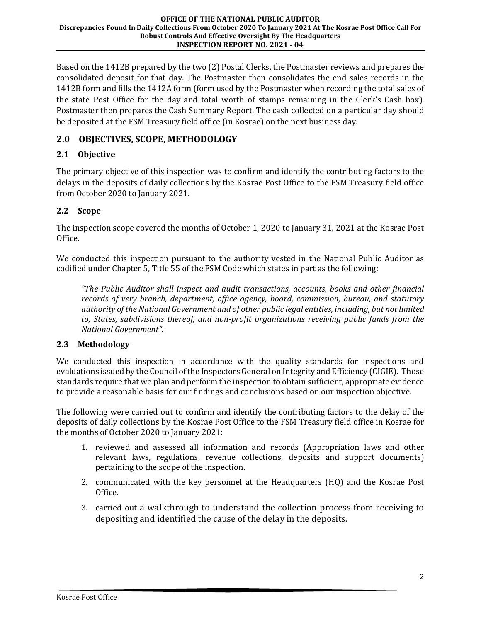Based on the 1412B prepared by the two (2) Postal Clerks, the Postmaster reviews and prepares the consolidated deposit for that day. The Postmaster then consolidates the end sales records in the 1412B form and fills the 1412A form (form used by the Postmaster when recording the total sales of the state Post Office for the day and total worth of stamps remaining in the Clerk's Cash box). Postmaster then prepares the Cash Summary Report. The cash collected on a particular day should be deposited at the FSM Treasury field office (in Kosrae) on the next business day.

# <span id="page-4-0"></span>**2.0 OBJECTIVES, SCOPE, METHODOLOGY**

## **2.1 Objective**

The primary objective of this inspection was to confirm and identify the contributing factors to the delays in the deposits of daily collections by the Kosrae Post Office to the FSM Treasury field office from October 2020 to January 2021.

## **2.2 Scope**

The inspection scope covered the months of October 1, 2020 to January 31, 2021 at the Kosrae Post Office.

We conducted this inspection pursuant to the authority vested in the National Public Auditor as codified under Chapter 5, Title 55 of the FSM Code which states in part as the following:

*"The Public Auditor shall inspect and audit transactions, accounts, books and other financial records of very branch, department, office agency, board, commission, bureau, and statutory authority of the National Government and of other public legal entities, including, but not limited to, States, subdivisions thereof, and non-profit organizations receiving public funds from the National Government".*

## **2.3 Methodology**

We conducted this inspection in accordance with the quality standards for inspections and evaluations issued by the Council of the Inspectors General on Integrity and Efficiency (CIGIE). Those standards require that we plan and perform the inspection to obtain sufficient, appropriate evidence to provide a reasonable basis for our findings and conclusions based on our inspection objective.

The following were carried out to confirm and identify the contributing factors to the delay of the deposits of daily collections by the Kosrae Post Office to the FSM Treasury field office in Kosrae for the months of October 2020 to January 2021:

- 1. reviewed and assessed all information and records (Appropriation laws and other relevant laws, regulations, revenue collections, deposits and support documents) pertaining to the scope of the inspection.
- 2. communicated with the key personnel at the Headquarters (HQ) and the Kosrae Post Office.
- 3. carried out a walkthrough to understand the collection process from receiving to depositing and identified the cause of the delay in the deposits.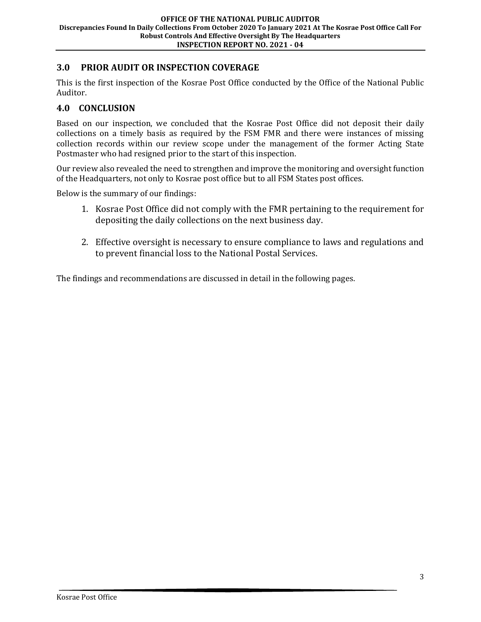## <span id="page-5-0"></span>**3.0 PRIOR AUDIT OR INSPECTION COVERAGE**

This is the first inspection of the Kosrae Post Office conducted by the Office of the National Public Auditor.

## <span id="page-5-1"></span>**4.0 CONCLUSION**

Based on our inspection, we concluded that the Kosrae Post Office did not deposit their daily collections on a timely basis as required by the FSM FMR and there were instances of missing collection records within our review scope under the management of the former Acting State Postmaster who had resigned prior to the start of this inspection.

Our review also revealed the need to strengthen and improve the monitoring and oversight function of the Headquarters, not only to Kosrae post office but to all FSM States post offices.

Below is the summary of our findings:

- 1. Kosrae Post Office did not comply with the FMR pertaining to the requirement for depositing the daily collections on the next business day.
- 2. Effective oversight is necessary to ensure compliance to laws and regulations and to prevent financial loss to the National Postal Services.

The findings and recommendations are discussed in detail in the following pages.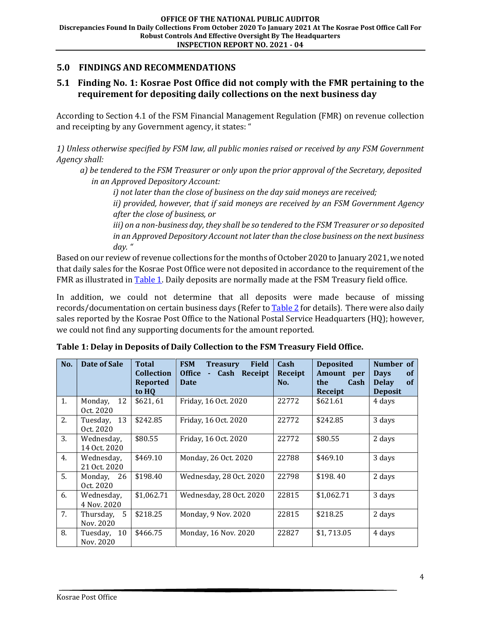## <span id="page-6-0"></span>**5.0 FINDINGS AND RECOMMENDATIONS**

## <span id="page-6-1"></span>**5.1 Finding No. 1: Kosrae Post Office did not comply with the FMR pertaining to the requirement for depositing daily collections on the next business day**

According to Section 4.1 of the FSM Financial Management Regulation (FMR) on revenue collection and receipting by any Government agency, it states: "

*1) Unless otherwise specified by FSM law, all public monies raised or received by any FSM Government Agency shall:*

 *a) be tendered to the FSM Treasurer or only upon the prior approval of the Secretary, deposited in an Approved Depository Account:* 

*i) not later than the close of business on the day said moneys are received;*

*ii) provided, however, that if said moneys are received by an FSM Government Agency after the close of business, or*

*iii) on a non-business day, they shall be so tendered to the FSM Treasurer or so deposited in an Approved Depository Account not later than the close business on the next business day. "*

Based on our review of revenue collections for the months of October 2020 to January 2021, we noted that daily sales for the Kosrae Post Office were not deposited in accordance to the requirement of the FMR as illustrated i[n Table 1.](#page-6-2) Daily deposits are normally made at the FSM Treasury field office.

In addition, we could not determine that all deposits were made because of missing records/documentation on certain business days (Refer t[o Table 2](#page-7-0) for details). There were also daily sales reported by the Kosrae Post Office to the National Postal Service Headquarters (HQ); however, we could not find any supporting documents for the amount reported.

| No. | Date of Sale                | <b>Total</b><br><b>Collection</b><br><b>Reported</b><br>to HO | <b>FSM</b><br><b>Field</b><br><b>Treasury</b><br><b>Office</b><br>Cash Receipt<br>٠<br>Date | Cash<br>Receipt<br>No. | <b>Deposited</b><br><b>Amount</b><br>per<br>the<br>Cash<br>Receipt | Number of<br><b>Days</b><br><b>of</b><br><b>Delay</b><br><b>of</b><br><b>Deposit</b> |
|-----|-----------------------------|---------------------------------------------------------------|---------------------------------------------------------------------------------------------|------------------------|--------------------------------------------------------------------|--------------------------------------------------------------------------------------|
| 1.  | 12<br>Monday,<br>Oct. 2020  | \$621, 61                                                     | Friday, 16 Oct. 2020                                                                        | 22772                  | \$621.61                                                           | 4 days                                                                               |
| 2.  | 13<br>Tuesday,<br>Oct. 2020 | \$242.85                                                      | Friday, 16 Oct. 2020                                                                        | 22772                  | \$242.85                                                           | 3 days                                                                               |
| 3.  | Wednesday,<br>14 Oct. 2020  | \$80.55                                                       | Friday, 16 Oct. 2020                                                                        | 22772                  | \$80.55                                                            | 2 days                                                                               |
| 4.  | Wednesday,<br>21 Oct. 2020  | \$469.10                                                      | Monday, 26 Oct. 2020                                                                        | 22788                  | \$469.10                                                           | 3 days                                                                               |
| 5.  | Monday, 26<br>Oct. 2020     | \$198.40                                                      | Wednesday, 28 Oct. 2020                                                                     | 22798                  | \$198.40                                                           | 2 days                                                                               |
| 6.  | Wednesday,<br>4 Nov. 2020   | \$1,062.71                                                    | Wednesday, 28 Oct. 2020                                                                     | 22815                  | \$1,062.71                                                         | 3 days                                                                               |
| 7.  | Thursday, 5<br>Nov. 2020    | \$218.25                                                      | Monday, 9 Nov. 2020                                                                         | 22815                  | \$218.25                                                           | 2 days                                                                               |
| 8.  | Tuesday, 10<br>Nov. 2020    | \$466.75                                                      | Monday, 16 Nov. 2020                                                                        | 22827                  | \$1,713.05                                                         | 4 days                                                                               |

<span id="page-6-2"></span>**Table 1: Delay in Deposits of Daily Collection to the FSM Treasury Field Office.**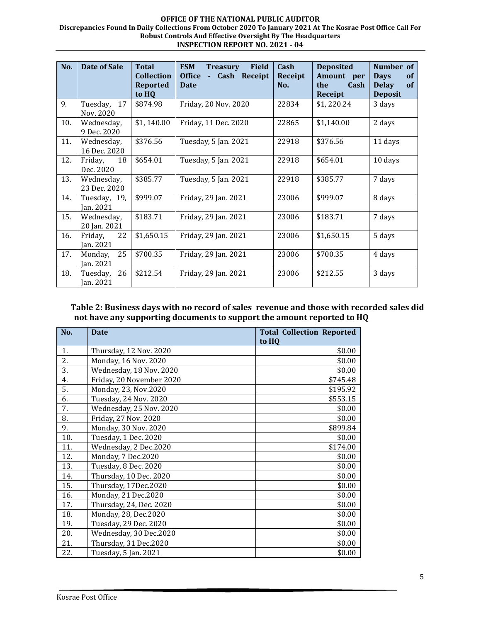#### **OFFICE OF THE NATIONAL PUBLIC AUDITOR Discrepancies Found In Daily Collections From October 2020 To January 2021 At The Kosrae Post Office Call For Robust Controls And Effective Oversight By The Headquarters INSPECTION REPORT NO. 2021 - 04**

| No. | <b>Date of Sale</b>         | <b>Total</b>      | <b>FSM</b><br><b>Field</b><br><b>Treasury</b> | Cash    | <b>Deposited</b> | Number of                |
|-----|-----------------------------|-------------------|-----------------------------------------------|---------|------------------|--------------------------|
|     |                             | <b>Collection</b> | <b>Office</b><br>Cash Receipt<br>÷,           | Receipt | Amount per       | <b>Days</b><br><b>of</b> |
|     |                             | <b>Reported</b>   | <b>Date</b>                                   | No.     | the<br>Cash      | of<br><b>Delay</b>       |
|     |                             | to HQ             |                                               |         | Receipt          | <b>Deposit</b>           |
| 9.  | Tuesday,<br>17<br>Nov. 2020 | \$874.98          | Friday, 20 Nov. 2020                          | 22834   | \$1,220.24       | 3 days                   |
| 10. | Wednesday,<br>9 Dec. 2020   | \$1,140.00        | Friday, 11 Dec. 2020                          | 22865   | \$1,140.00       | 2 days                   |
| 11. | Wednesday,<br>16 Dec. 2020  | \$376.56          | Tuesday, 5 Jan. 2021                          | 22918   | \$376.56         | 11 days                  |
| 12. | Friday,<br>18<br>Dec. 2020  | \$654.01          | Tuesday, 5 Jan. 2021                          | 22918   | \$654.01         | 10 days                  |
| 13. | Wednesday,<br>23 Dec. 2020  | \$385.77          | Tuesday, 5 Jan. 2021                          | 22918   | \$385.77         | 7 days                   |
| 14. | Tuesday, 19,<br>Jan. 2021   | \$999.07          | Friday, 29 Jan. 2021                          | 23006   | \$999.07         | 8 days                   |
| 15. | Wednesday,<br>20 Jan. 2021  | \$183.71          | Friday, 29 Jan. 2021                          | 23006   | \$183.71         | 7 days                   |
| 16. | 22<br>Friday,<br>Jan. 2021  | \$1,650.15        | Friday, 29 Jan. 2021                          | 23006   | \$1,650.15       | 5 days                   |
| 17. | 25<br>Monday,<br>Jan. 2021  | \$700.35          | Friday, 29 Jan. 2021                          | 23006   | \$700.35         | 4 days                   |
| 18. | 26<br>Tuesday,<br>Jan. 2021 | \$212.54          | Friday, 29 Jan. 2021                          | 23006   | \$212.55         | 3 days                   |

#### <span id="page-7-0"></span>**Table 2: Business days with no record of sales revenue and those with recorded sales did not have any supporting documents to support the amount reported to HQ**

| No. | <b>Date</b>              | <b>Total Collection Reported</b> |
|-----|--------------------------|----------------------------------|
|     |                          | to HQ                            |
| 1.  | Thursday, 12 Nov. 2020   | \$0.00                           |
| 2.  | Monday, 16 Nov. 2020     | \$0.00                           |
| 3.  | Wednesday, 18 Nov. 2020  | \$0.00                           |
| 4.  | Friday, 20 November 2020 | \$745.48                         |
| 5.  | Monday, 23, Nov.2020     | \$195.92                         |
| 6.  | Tuesday, 24 Nov. 2020    | \$553.15                         |
| 7.  | Wednesday, 25 Nov. 2020  | \$0.00                           |
| 8.  | Friday, 27 Nov. 2020     | \$0.00                           |
| 9.  | Monday, 30 Nov. 2020     | \$899.84                         |
| 10. | Tuesday, 1 Dec. 2020     | \$0.00                           |
| 11. | Wednesday, 2 Dec.2020    | \$174.00                         |
| 12. | Monday, 7 Dec.2020       | \$0.00                           |
| 13. | Tuesday, 8 Dec. 2020     | \$0.00                           |
| 14. | Thursday, 10 Dec. 2020   | \$0.00                           |
| 15. | Thursday, 17Dec.2020     | \$0.00                           |
| 16. | Monday, 21 Dec.2020      | \$0.00                           |
| 17. | Thursday, 24, Dec. 2020  | \$0.00                           |
| 18. | Monday, 28, Dec.2020     | \$0.00                           |
| 19. | Tuesday, 29 Dec. 2020    | \$0.00                           |
| 20. | Wednesday, 30 Dec.2020   | \$0.00                           |
| 21. | Thursday, 31 Dec.2020    | \$0.00                           |
| 22. | Tuesday, 5 Jan. 2021     | \$0.00                           |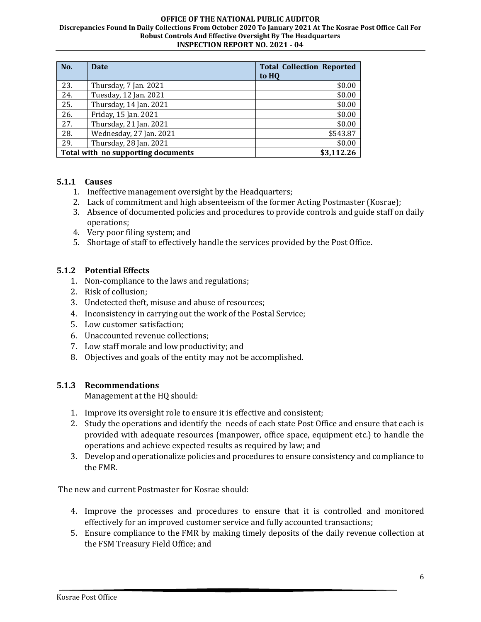#### **OFFICE OF THE NATIONAL PUBLIC AUDITOR Discrepancies Found In Daily Collections From October 2020 To January 2021 At The Kosrae Post Office Call For Robust Controls And Effective Oversight By The Headquarters INSPECTION REPORT NO. 2021 - 04**

| No.                                | <b>Date</b>             | <b>Total Collection Reported</b><br>to HO |
|------------------------------------|-------------------------|-------------------------------------------|
| 23.                                | Thursday, 7 Jan. 2021   | \$0.00                                    |
| 24.                                | Tuesday, 12 Jan. 2021   | \$0.00                                    |
| 25.                                | Thursday, 14 Jan. 2021  | \$0.00                                    |
| 26.                                | Friday, 15 Jan. 2021    | \$0.00                                    |
| 27.                                | Thursday, 21 Jan. 2021  | \$0.00                                    |
| 28.                                | Wednesday, 27 Jan. 2021 | \$543.87                                  |
| 29.                                | Thursday, 28 Jan. 2021  | \$0.00                                    |
| Total with no supporting documents |                         | \$3,112.26                                |

## <span id="page-8-0"></span>**5.1.1 Causes**

- 1. Ineffective management oversight by the Headquarters;
- 2. Lack of commitment and high absenteeism of the former Acting Postmaster (Kosrae);
- 3. Absence of documented policies and procedures to provide controls and guide staff on daily operations;
- 4. Very poor filing system; and
- 5. Shortage of staff to effectively handle the services provided by the Post Office.

## <span id="page-8-1"></span>**5.1.2 Potential Effects**

- 1. Non-compliance to the laws and regulations;
- 2. Risk of collusion;
- 3. Undetected theft, misuse and abuse of resources;
- 4. Inconsistency in carrying out the work of the Postal Service;
- 5. Low customer satisfaction;
- 6. Unaccounted revenue collections;
- 7. Low staff morale and low productivity; and
- 8. Objectives and goals of the entity may not be accomplished.

#### <span id="page-8-2"></span>**5.1.3 Recommendations**

Management at the HQ should:

- 1. Improve its oversight role to ensure it is effective and consistent;
- 2. Study the operations and identify the needs of each state Post Office and ensure that each is provided with adequate resources (manpower, office space, equipment etc.) to handle the operations and achieve expected results as required by law; and
- 3. Develop and operationalize policies and procedures to ensure consistency and compliance to the FMR.

The new and current Postmaster for Kosrae should:

- 4. Improve the processes and procedures to ensure that it is controlled and monitored effectively for an improved customer service and fully accounted transactions;
- 5. Ensure compliance to the FMR by making timely deposits of the daily revenue collection at the FSM Treasury Field Office; and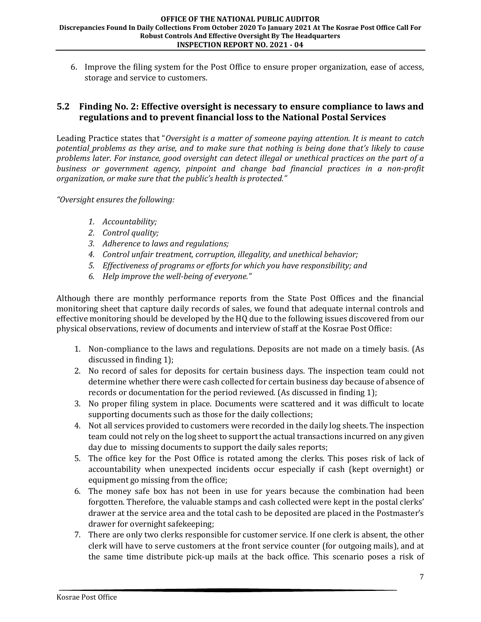6. Improve the filing system for the Post Office to ensure proper organization, ease of access, storage and service to customers.

## <span id="page-9-0"></span>**5.2 Finding No. 2: Effective oversight is necessary to ensure compliance to laws and regulations and to prevent financial loss to the National Postal Services**

Leading Practice states that "*Oversight is a matter of someone paying attention. It is meant to catch potential problems as they arise, and to make sure that nothing is being done that's likely to cause problems later. For instance, good oversight can detect illegal or unethical practices on the part of a business or government agency, pinpoint and change bad financial practices in a non-profit organization, or make sure that the public's health is protected."*

*"Oversight ensures the following:*

- *1. Accountability;*
- *2. Control quality;*
- *3. Adherence to laws and regulations;*
- *4. Control unfair treatment, corruption, illegality, and unethical behavior;*
- *5. Effectiveness of programs or efforts for which you have responsibility; and*
- *6. Help improve the well-being of everyone."*

Although there are monthly performance reports from the State Post Offices and the financial monitoring sheet that capture daily records of sales, we found that adequate internal controls and effective monitoring should be developed by the HQ due to the following issues discovered from our physical observations, review of documents and interview of staff at the Kosrae Post Office:

- 1. Non-compliance to the laws and regulations. Deposits are not made on a timely basis. (As discussed in finding 1);
- 2. No record of sales for deposits for certain business days. The inspection team could not determine whether there were cash collected for certain business day because of absence of records or documentation for the period reviewed. (As discussed in finding 1);
- 3. No proper filing system in place. Documents were scattered and it was difficult to locate supporting documents such as those for the daily collections;
- 4. Not all services provided to customers were recorded in the daily log sheets. The inspection team could not rely on the log sheet to support the actual transactions incurred on any given day due to missing documents to support the daily sales reports;
- 5. The office key for the Post Office is rotated among the clerks. This poses risk of lack of accountability when unexpected incidents occur especially if cash (kept overnight) or equipment go missing from the office;
- 6. The money safe box has not been in use for years because the combination had been forgotten. Therefore, the valuable stamps and cash collected were kept in the postal clerks' drawer at the service area and the total cash to be deposited are placed in the Postmaster's drawer for overnight safekeeping;
- 7. There are only two clerks responsible for customer service. If one clerk is absent, the other clerk will have to serve customers at the front service counter (for outgoing mails), and at the same time distribute pick-up mails at the back office. This scenario poses a risk of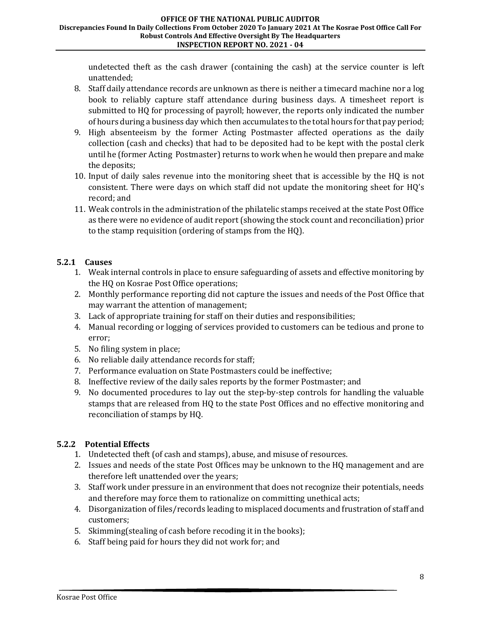undetected theft as the cash drawer (containing the cash) at the service counter is left unattended;

- 8. Staff daily attendance records are unknown as there is neither a timecard machine nor a log book to reliably capture staff attendance during business days. A timesheet report is submitted to HQ for processing of payroll; however, the reports only indicated the number of hours during a business day which then accumulates to the total hours for that pay period;
- 9. High absenteeism by the former Acting Postmaster affected operations as the daily collection (cash and checks) that had to be deposited had to be kept with the postal clerk until he (former Acting Postmaster) returns to work when he would then prepare and make the deposits;
- 10. Input of daily sales revenue into the monitoring sheet that is accessible by the HQ is not consistent. There were days on which staff did not update the monitoring sheet for HQ's record; and
- 11. Weak controls in the administration of the philatelic stamps received at the state Post Office as there were no evidence of audit report (showing the stock count and reconciliation) prior to the stamp requisition (ordering of stamps from the HQ).

## <span id="page-10-0"></span>**5.2.1 Causes**

- 1. Weak internal controls in place to ensure safeguarding of assets and effective monitoring by the HQ on Kosrae Post Office operations;
- 2. Monthly performance reporting did not capture the issues and needs of the Post Office that may warrant the attention of management;
- 3. Lack of appropriate training for staff on their duties and responsibilities;
- 4. Manual recording or logging of services provided to customers can be tedious and prone to error;
- 5. No filing system in place;
- 6. No reliable daily attendance records for staff;
- 7. Performance evaluation on State Postmasters could be ineffective;
- 8. Ineffective review of the daily sales reports by the former Postmaster; and
- 9. No documented procedures to lay out the step-by-step controls for handling the valuable stamps that are released from HQ to the state Post Offices and no effective monitoring and reconciliation of stamps by HQ.

## <span id="page-10-1"></span>**5.2.2 Potential Effects**

- 1. Undetected theft (of cash and stamps), abuse, and misuse of resources.
- 2. Issues and needs of the state Post Offices may be unknown to the HQ management and are therefore left unattended over the years;
- 3. Staff work under pressure in an environment that does not recognize their potentials, needs and therefore may force them to rationalize on committing unethical acts;
- 4. Disorganization of files/records leading to misplaced documents and frustration of staff and customers;
- 5. Skimming(stealing of cash before recoding it in the books);
- 6. Staff being paid for hours they did not work for; and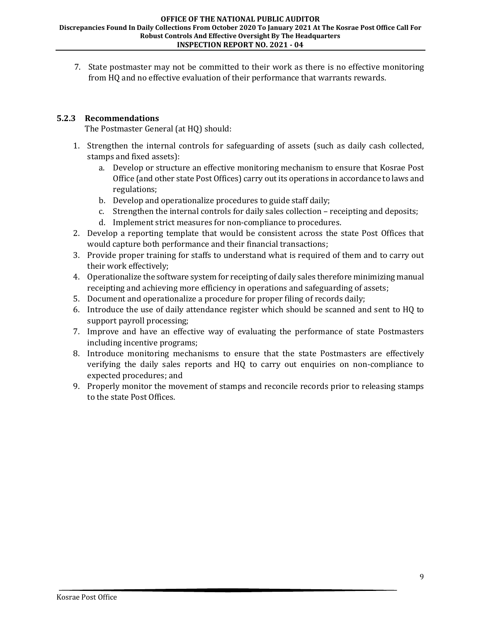7. State postmaster may not be committed to their work as there is no effective monitoring from HQ and no effective evaluation of their performance that warrants rewards.

#### <span id="page-11-0"></span>**5.2.3 Recommendations**

The Postmaster General (at HQ) should:

- 1. Strengthen the internal controls for safeguarding of assets (such as daily cash collected, stamps and fixed assets):
	- a. Develop or structure an effective monitoring mechanism to ensure that Kosrae Post Office (and other state Post Offices) carry out its operations in accordance to laws and regulations;
	- b. Develop and operationalize procedures to guide staff daily;
	- c. Strengthen the internal controls for daily sales collection receipting and deposits;
	- d. Implement strict measures for non-compliance to procedures.
- 2. Develop a reporting template that would be consistent across the state Post Offices that would capture both performance and their financial transactions;
- 3. Provide proper training for staffs to understand what is required of them and to carry out their work effectively;
- 4. Operationalize the software system for receipting of daily sales therefore minimizing manual receipting and achieving more efficiency in operations and safeguarding of assets;
- 5. Document and operationalize a procedure for proper filing of records daily;
- 6. Introduce the use of daily attendance register which should be scanned and sent to HQ to support payroll processing;
- 7. Improve and have an effective way of evaluating the performance of state Postmasters including incentive programs;
- 8. Introduce monitoring mechanisms to ensure that the state Postmasters are effectively verifying the daily sales reports and HQ to carry out enquiries on non-compliance to expected procedures; and
- 9. Properly monitor the movement of stamps and reconcile records prior to releasing stamps to the state Post Offices.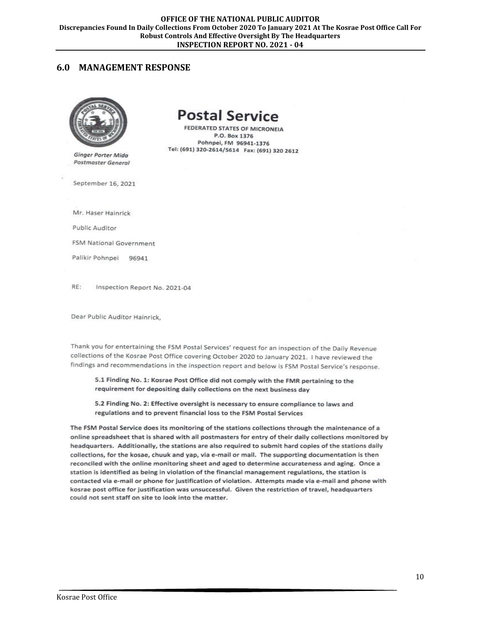#### <span id="page-12-0"></span>**6.0 MANAGEMENT RESPONSE**



**Ginger Porter Mida** Postmaster General

# **Postal Service**

FEDERATED STATES OF MICRONEIA P.O. Box 1376 Pohnpei, FM 96941-1376 Tel: (691) 320-2614/5614 Fax: (691) 320 2612

September 16, 2021

Mr. Haser Hainrick

Public Auditor

FSM National Government

Palikir Pohnpei 96941

RF: Inspection Report No. 2021-04

Dear Public Auditor Hainrick.

Thank you for entertaining the FSM Postal Services' request for an inspection of the Daily Revenue collections of the Kosrae Post Office covering October 2020 to January 2021. I have reviewed the findings and recommendations in the inspection report and below is FSM Postal Service's response.

5.1 Finding No. 1: Kosrae Post Office did not comply with the FMR pertaining to the requirement for depositing daily collections on the next business day

5.2 Finding No. 2: Effective oversight is necessary to ensure compliance to laws and regulations and to prevent financial loss to the FSM Postal Services

The FSM Postal Service does its monitoring of the stations collections through the maintenance of a online spreadsheet that is shared with all postmasters for entry of their daily collections monitored by headquarters. Additionally, the stations are also required to submit hard copies of the stations daily collections, for the kosae, chuuk and yap, via e-mail or mail. The supporting documentation is then reconciled with the online monitoring sheet and aged to determine accurateness and aging. Once a station is identified as being in violation of the financial management regulations, the station is contacted via e-mail or phone for justification of violation. Attempts made via e-mail and phone with kosrae post office for justification was unsuccessful. Given the restriction of travel, headquarters could not sent staff on site to look into the matter.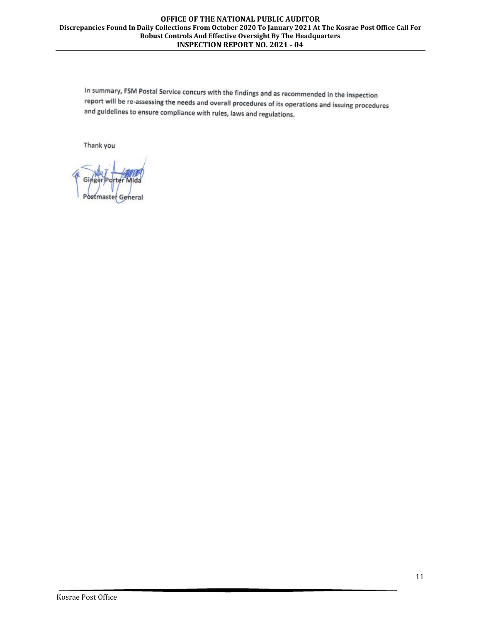#### **OFFICE OF THE NATIONAL PUBLIC AUDITOR Discrepancies Found In Daily Collections From October 2020 To January 2021 At The Kosrae Post Office Call For Robust Controls And Effective Oversight By The Headquarters INSPECTION REPORT NO. 2021 - 04**

In summary, FSM Postal Service concurs with the findings and as recommended in the inspection report will be re-assessing the needs and overall procedures of its operations and issuing procedures and guidelines to ensure compliance with rules, laws and regulations.

Thank you

Postmaster General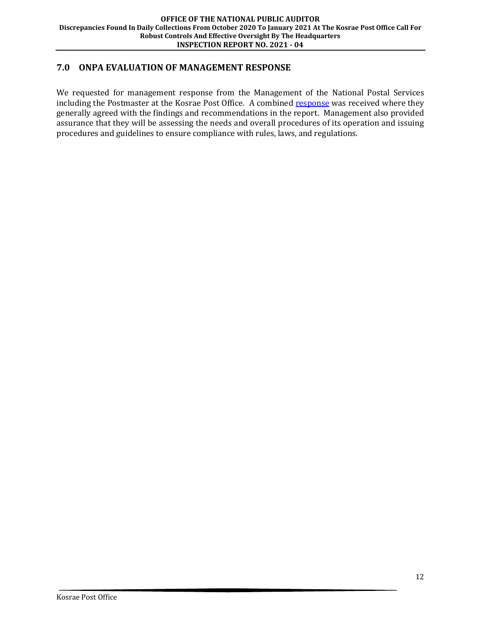## <span id="page-14-0"></span>**7.0 ONPA EVALUATION OF MANAGEMENT RESPONSE**

We requested for management response from the Management of the National Postal Services including the Postmaster at the Kosrae Post Office. A combined [response](#page-12-0) was received where they generally agreed with the findings and recommendations in the report. Management also provided assurance that they will be assessing the needs and overall procedures of its operation and issuing procedures and guidelines to ensure compliance with rules, laws, and regulations.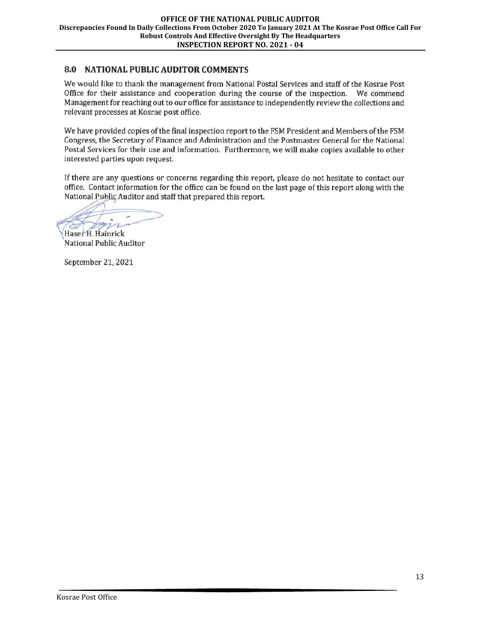## 8.0 NATIONAL PUBLIC AUDITOR COMMENTS

We would like to thank the management from National Postal Services and staff of the Kosrae Post Office for their assistance and cooperation during the course of the inspection. We commend Management for reaching out to our office for assistance to independently review the collections and relevant processes at Kosrae post office.

We have provided copies of the final inspection report to the FSM President and Members of the FSM Congress, the Secretary of Finance and Administration and the Postmaster General for the National Postal Services for their use and information. Furthermore, we will make copies available to other interested parties upon request.

If there are any questions or concerns regarding this report, please do not hesitate to contact our office. Contact information for the office can be found on the last page of this report along with the National Public Auditor and staff that prepared this report.

m

Haser H. Hainrick National Public Auditor

September 21, 2021